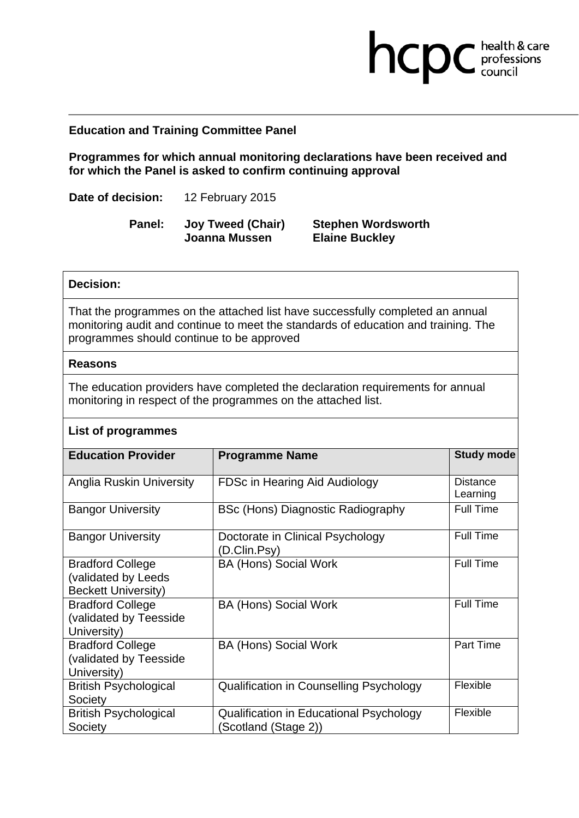## **Education and Training Committee Panel**

**Programmes for which annual monitoring declarations have been received and for which the Panel is asked to confirm continuing approval** 

**Date of decision:** 12 February 2015

**Panel: Joy Tweed (Chair) Joanna Mussen** 

**Stephen Wordsworth Elaine Buckley** 

hcpc health & care

## **Decision:**

That the programmes on the attached list have successfully completed an annual monitoring audit and continue to meet the standards of education and training. The programmes should continue to be approved

### **Reasons**

The education providers have completed the declaration requirements for annual monitoring in respect of the programmes on the attached list.

## **List of programmes**

| <b>Education Provider</b>                                                    | <b>Programme Name</b>                                          | <b>Study mode</b>           |
|------------------------------------------------------------------------------|----------------------------------------------------------------|-----------------------------|
| Anglia Ruskin University                                                     | FDSc in Hearing Aid Audiology                                  | <b>Distance</b><br>Learning |
| <b>Bangor University</b>                                                     | BSc (Hons) Diagnostic Radiography                              | <b>Full Time</b>            |
| <b>Bangor University</b>                                                     | Doctorate in Clinical Psychology<br>(D.Clin.Psy)               | <b>Full Time</b>            |
| <b>Bradford College</b><br>(validated by Leeds<br><b>Beckett University)</b> | <b>BA (Hons) Social Work</b>                                   | <b>Full Time</b>            |
| <b>Bradford College</b><br>(validated by Teesside<br>University)             | <b>BA (Hons) Social Work</b>                                   | <b>Full Time</b>            |
| <b>Bradford College</b><br>(validated by Teesside<br>University)             | <b>BA (Hons) Social Work</b>                                   | Part Time                   |
| <b>British Psychological</b><br>Society                                      | <b>Qualification in Counselling Psychology</b>                 | Flexible                    |
| <b>British Psychological</b><br>Society                                      | Qualification in Educational Psychology<br>Scotland (Stage 2)) | Flexible                    |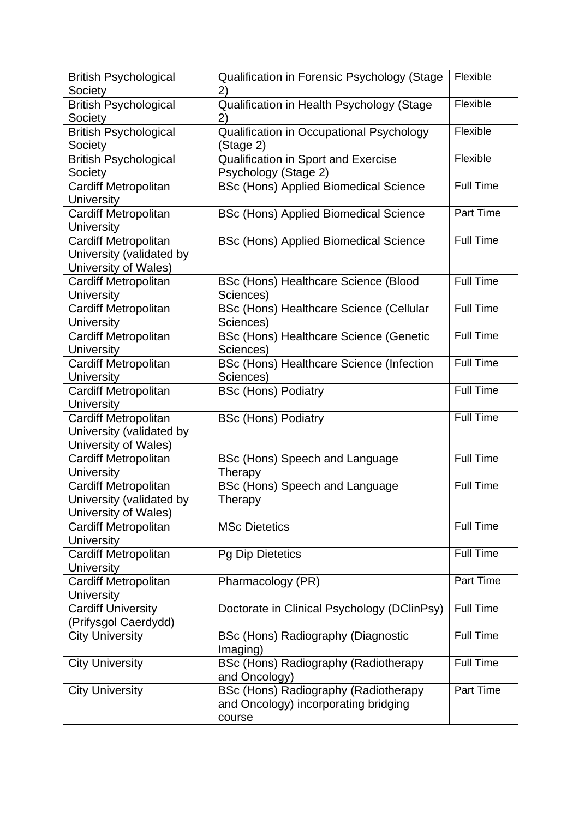| <b>British Psychological</b> | Qualification in Forensic Psychology (Stage   | Flexible         |
|------------------------------|-----------------------------------------------|------------------|
| Society                      | 2)                                            |                  |
| <b>British Psychological</b> | Qualification in Health Psychology (Stage     | Flexible         |
| Society                      | 2)                                            |                  |
| <b>British Psychological</b> | Qualification in Occupational Psychology      | Flexible         |
| Society                      | (Stage 2)                                     |                  |
| <b>British Psychological</b> | Qualification in Sport and Exercise           | Flexible         |
| Society                      | Psychology (Stage 2)                          |                  |
| Cardiff Metropolitan         | <b>BSc (Hons) Applied Biomedical Science</b>  | <b>Full Time</b> |
| <b>University</b>            |                                               |                  |
| Cardiff Metropolitan         | <b>BSc (Hons) Applied Biomedical Science</b>  | Part Time        |
| <b>University</b>            |                                               |                  |
| <b>Cardiff Metropolitan</b>  | <b>BSc (Hons) Applied Biomedical Science</b>  | <b>Full Time</b> |
| University (validated by     |                                               |                  |
| University of Wales)         |                                               |                  |
| <b>Cardiff Metropolitan</b>  | BSc (Hons) Healthcare Science (Blood          | <b>Full Time</b> |
| <b>University</b>            | Sciences)                                     |                  |
| <b>Cardiff Metropolitan</b>  | BSc (Hons) Healthcare Science (Cellular       | <b>Full Time</b> |
| <b>University</b>            | Sciences)                                     |                  |
| <b>Cardiff Metropolitan</b>  | <b>BSc (Hons) Healthcare Science (Genetic</b> | Full Time        |
| <b>University</b>            | Sciences)                                     |                  |
| Cardiff Metropolitan         | BSc (Hons) Healthcare Science (Infection      | <b>Full Time</b> |
| <b>University</b>            | Sciences)                                     |                  |
| Cardiff Metropolitan         | <b>BSc (Hons) Podiatry</b>                    | <b>Full Time</b> |
| University                   |                                               |                  |
| Cardiff Metropolitan         | <b>BSc (Hons) Podiatry</b>                    | Full Time        |
| University (validated by     |                                               |                  |
| University of Wales)         |                                               |                  |
| <b>Cardiff Metropolitan</b>  | BSc (Hons) Speech and Language                | <b>Full Time</b> |
| <b>University</b>            | Therapy                                       |                  |
| Cardiff Metropolitan         | BSc (Hons) Speech and Language                | Full Time        |
| University (validated by     | Therapy                                       |                  |
| University of Wales)         |                                               |                  |
| <b>Cardiff Metropolitan</b>  | <b>MSc Dietetics</b>                          | <b>Full Time</b> |
| <b>University</b>            |                                               |                  |
| Cardiff Metropolitan         | <b>Pq Dip Dietetics</b>                       | Full Time        |
| University                   |                                               |                  |
| Cardiff Metropolitan         | Pharmacology (PR)                             | Part Time        |
| <b>University</b>            |                                               |                  |
| <b>Cardiff University</b>    | Doctorate in Clinical Psychology (DClinPsy)   | <b>Full Time</b> |
| (Prifysgol Caerdydd)         |                                               |                  |
| <b>City University</b>       | BSc (Hons) Radiography (Diagnostic            | <b>Full Time</b> |
|                              | Imaging)                                      |                  |
| <b>City University</b>       | BSc (Hons) Radiography (Radiotherapy          | <b>Full Time</b> |
|                              | and Oncology)                                 |                  |
| <b>City University</b>       | BSc (Hons) Radiography (Radiotherapy          | Part Time        |
|                              | and Oncology) incorporating bridging          |                  |
|                              | course                                        |                  |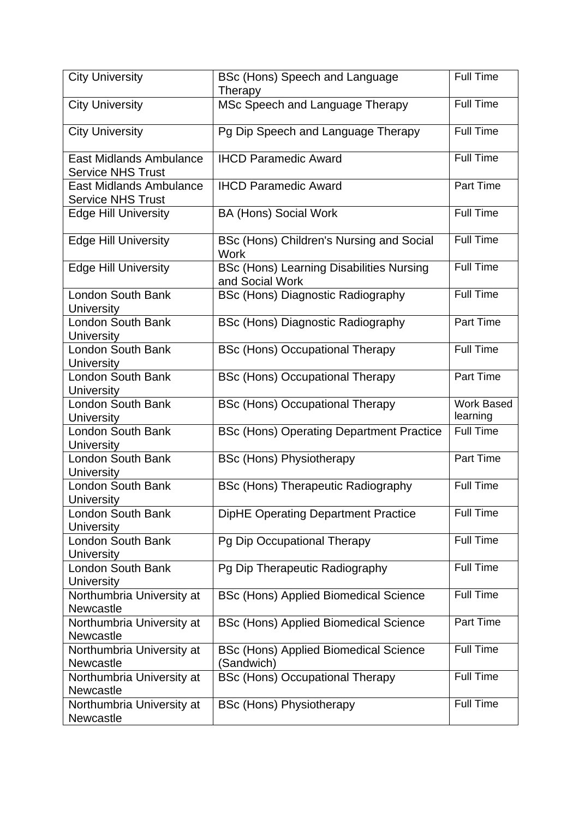| <b>City University</b>                                     | BSc (Hons) Speech and Language<br>Therapy                          | <b>Full Time</b>       |
|------------------------------------------------------------|--------------------------------------------------------------------|------------------------|
| <b>City University</b>                                     | MSc Speech and Language Therapy                                    | <b>Full Time</b>       |
| <b>City University</b>                                     | Pg Dip Speech and Language Therapy                                 | Full Time              |
| <b>East Midlands Ambulance</b><br><b>Service NHS Trust</b> | <b>IHCD Paramedic Award</b>                                        | Full Time              |
| <b>East Midlands Ambulance</b><br><b>Service NHS Trust</b> | <b>IHCD Paramedic Award</b>                                        | Part Time              |
| <b>Edge Hill University</b>                                | <b>BA (Hons) Social Work</b>                                       | <b>Full Time</b>       |
| <b>Edge Hill University</b>                                | BSc (Hons) Children's Nursing and Social<br>Work                   | <b>Full Time</b>       |
| <b>Edge Hill University</b>                                | <b>BSc (Hons) Learning Disabilities Nursing</b><br>and Social Work | Full Time              |
| London South Bank<br><b>University</b>                     | <b>BSc (Hons) Diagnostic Radiography</b>                           | <b>Full Time</b>       |
| London South Bank<br>University                            | <b>BSc (Hons) Diagnostic Radiography</b>                           | Part Time              |
| <b>London South Bank</b><br><b>University</b>              | <b>BSc (Hons) Occupational Therapy</b>                             | <b>Full Time</b>       |
| London South Bank<br><b>University</b>                     | <b>BSc (Hons) Occupational Therapy</b>                             | Part Time              |
|                                                            |                                                                    |                        |
| London South Bank<br>University                            | <b>BSc (Hons) Occupational Therapy</b>                             | Work Based<br>learning |
| <b>London South Bank</b><br><b>University</b>              | <b>BSc (Hons) Operating Department Practice</b>                    | <b>Full Time</b>       |
| London South Bank<br><b>University</b>                     | <b>BSc (Hons) Physiotherapy</b>                                    | Part Time              |
| <b>London South Bank</b><br>University                     | <b>BSc (Hons) Therapeutic Radiography</b>                          | Full Time              |
| <b>London South Bank</b><br><b>University</b>              | DipHE Operating Department Practice                                | <b>Full Time</b>       |
| <b>London South Bank</b><br><b>University</b>              | Pg Dip Occupational Therapy                                        | Full Time              |
| London South Bank<br><b>University</b>                     | Pg Dip Therapeutic Radiography                                     | Full Time              |
| Northumbria University at                                  | <b>BSc (Hons) Applied Biomedical Science</b>                       | <b>Full Time</b>       |
| Newcastle<br>Northumbria University at                     | <b>BSc (Hons) Applied Biomedical Science</b>                       | Part Time              |
| <b>Newcastle</b><br>Northumbria University at              | <b>BSc (Hons) Applied Biomedical Science</b>                       | Full Time              |
| Newcastle<br>Northumbria University at<br><b>Newcastle</b> | (Sandwich)<br><b>BSc (Hons) Occupational Therapy</b>               | <b>Full Time</b>       |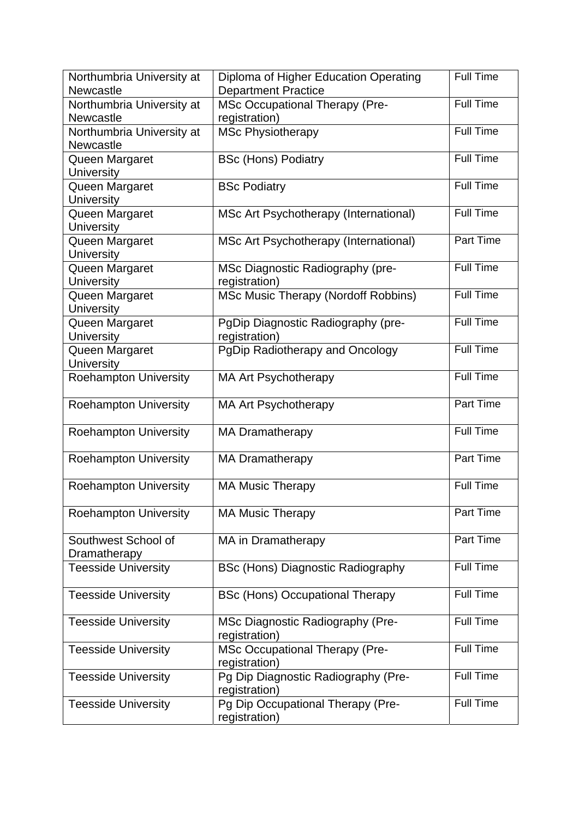| Northumbria University at    | Diploma of Higher Education Operating    | <b>Full Time</b> |
|------------------------------|------------------------------------------|------------------|
| Newcastle                    | <b>Department Practice</b>               |                  |
| Northumbria University at    | <b>MSc Occupational Therapy (Pre-</b>    | <b>Full Time</b> |
| Newcastle                    | registration)                            |                  |
| Northumbria University at    | <b>MSc Physiotherapy</b>                 | <b>Full Time</b> |
| Newcastle                    |                                          |                  |
| Queen Margaret               | <b>BSc (Hons) Podiatry</b>               | Full Time        |
| <b>University</b>            |                                          |                  |
| Queen Margaret               | <b>BSc Podiatry</b>                      | <b>Full Time</b> |
| University                   |                                          |                  |
| Queen Margaret               | MSc Art Psychotherapy (International)    | <b>Full Time</b> |
| <b>University</b>            |                                          |                  |
| Queen Margaret               | MSc Art Psychotherapy (International)    | Part Time        |
| <b>University</b>            |                                          |                  |
| Queen Margaret               | MSc Diagnostic Radiography (pre-         | Full Time        |
| University                   | registration)                            |                  |
| Queen Margaret               | MSc Music Therapy (Nordoff Robbins)      | <b>Full Time</b> |
| <b>University</b>            |                                          |                  |
| Queen Margaret               | PgDip Diagnostic Radiography (pre-       | <b>Full Time</b> |
| <b>University</b>            | registration)                            |                  |
| Queen Margaret               | PgDip Radiotherapy and Oncology          | <b>Full Time</b> |
| <b>University</b>            |                                          |                  |
| <b>Roehampton University</b> | <b>MA Art Psychotherapy</b>              | Full Time        |
|                              |                                          |                  |
| <b>Roehampton University</b> | <b>MA Art Psychotherapy</b>              | Part Time        |
|                              |                                          |                  |
| <b>Roehampton University</b> | <b>MA Dramatherapy</b>                   | <b>Full Time</b> |
|                              |                                          |                  |
| <b>Roehampton University</b> | <b>MA Dramatherapy</b>                   | Part Time        |
|                              |                                          |                  |
| <b>Roehampton University</b> | <b>MA Music Therapy</b>                  | <b>Full Time</b> |
|                              |                                          |                  |
| <b>Roehampton University</b> | <b>MA Music Therapy</b>                  | Part Time        |
|                              |                                          |                  |
| Southwest School of          | MA in Dramatherapy                       | Part Time        |
| Dramatherapy                 |                                          |                  |
| <b>Teesside University</b>   | <b>BSc (Hons) Diagnostic Radiography</b> | <b>Full Time</b> |
|                              |                                          |                  |
| <b>Teesside University</b>   | <b>BSc (Hons) Occupational Therapy</b>   | <b>Full Time</b> |
|                              |                                          |                  |
| <b>Teesside University</b>   | MSc Diagnostic Radiography (Pre-         | <b>Full Time</b> |
|                              | registration)                            |                  |
| <b>Teesside University</b>   | <b>MSc Occupational Therapy (Pre-</b>    | <b>Full Time</b> |
|                              | registration)                            |                  |
| <b>Teesside University</b>   | Pg Dip Diagnostic Radiography (Pre-      | <b>Full Time</b> |
|                              | registration)                            |                  |
| <b>Teesside University</b>   | Pg Dip Occupational Therapy (Pre-        | <b>Full Time</b> |
|                              | registration)                            |                  |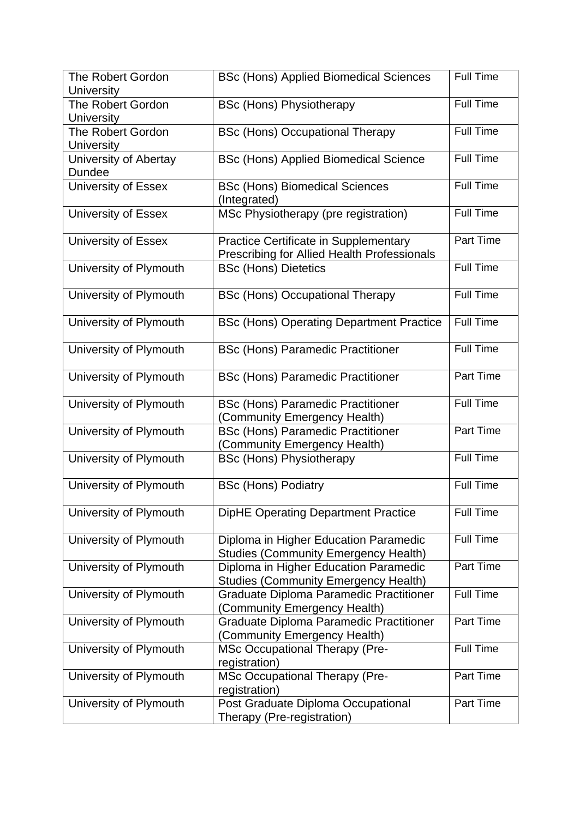| <b>The Robert Gordon</b><br><b>University</b> | <b>BSc (Hons) Applied Biomedical Sciences</b>                                                      | <b>Full Time</b> |
|-----------------------------------------------|----------------------------------------------------------------------------------------------------|------------------|
| <b>The Robert Gordon</b><br>University        | <b>BSc (Hons) Physiotherapy</b>                                                                    | <b>Full Time</b> |
| The Robert Gordon<br><b>University</b>        | <b>BSc (Hons) Occupational Therapy</b>                                                             | <b>Full Time</b> |
| University of Abertay<br>Dundee               | <b>BSc (Hons) Applied Biomedical Science</b>                                                       | <b>Full Time</b> |
| University of Essex                           | <b>BSc (Hons) Biomedical Sciences</b><br>(Integrated)                                              | <b>Full Time</b> |
| <b>University of Essex</b>                    | MSc Physiotherapy (pre registration)                                                               | Full Time        |
| <b>University of Essex</b>                    | <b>Practice Certificate in Supplementary</b><br><b>Prescribing for Allied Health Professionals</b> | Part Time        |
| University of Plymouth                        | <b>BSc (Hons) Dietetics</b>                                                                        | <b>Full Time</b> |
| University of Plymouth                        | <b>BSc (Hons) Occupational Therapy</b>                                                             | Full Time        |
| University of Plymouth                        | <b>BSc (Hons) Operating Department Practice</b>                                                    | <b>Full Time</b> |
| University of Plymouth                        | <b>BSc (Hons) Paramedic Practitioner</b>                                                           | Full Time        |
| University of Plymouth                        | <b>BSc (Hons) Paramedic Practitioner</b>                                                           | Part Time        |
| University of Plymouth                        | <b>BSc (Hons) Paramedic Practitioner</b><br>(Community Emergency Health)                           | <b>Full Time</b> |
| University of Plymouth                        | <b>BSc (Hons) Paramedic Practitioner</b><br>(Community Emergency Health)                           | Part Time        |
| University of Plymouth                        | <b>BSc (Hons) Physiotherapy</b>                                                                    | <b>Full Time</b> |
| University of Plymouth                        | <b>BSc (Hons) Podiatry</b>                                                                         | <b>Full Time</b> |
| University of Plymouth                        | <b>DipHE Operating Department Practice</b>                                                         | <b>Full Time</b> |
| University of Plymouth                        | Diploma in Higher Education Paramedic<br><b>Studies (Community Emergency Health)</b>               | <b>Full Time</b> |
| University of Plymouth                        | Diploma in Higher Education Paramedic<br><b>Studies (Community Emergency Health)</b>               | Part Time        |
| University of Plymouth                        | <b>Graduate Diploma Paramedic Practitioner</b><br>(Community Emergency Health)                     | Full Time        |
| University of Plymouth                        | Graduate Diploma Paramedic Practitioner<br>(Community Emergency Health)                            | Part Time        |
| University of Plymouth                        | <b>MSc Occupational Therapy (Pre-</b><br>registration)                                             | <b>Full Time</b> |
| University of Plymouth                        | MSc Occupational Therapy (Pre-<br>registration)                                                    | Part Time        |
| University of Plymouth                        | Post Graduate Diploma Occupational<br>Therapy (Pre-registration)                                   | Part Time        |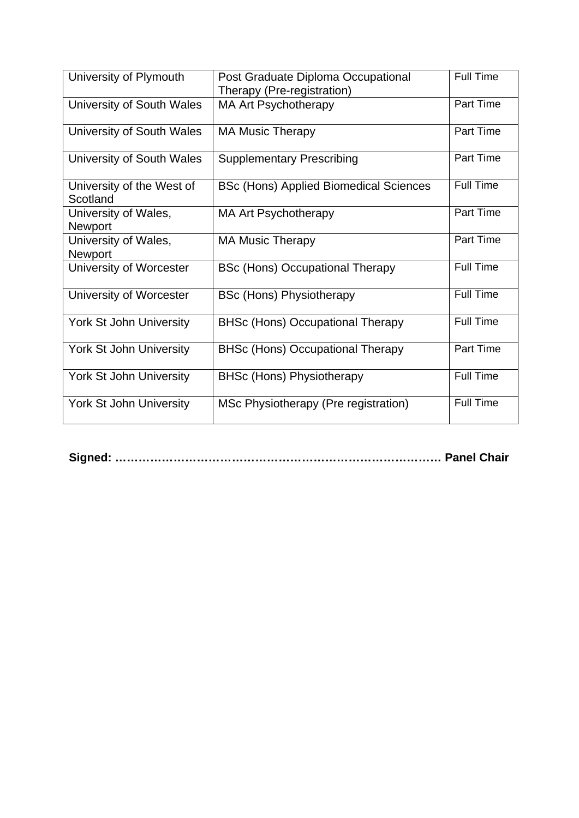| University of Plymouth                 | Post Graduate Diploma Occupational<br>Therapy (Pre-registration) | <b>Full Time</b> |
|----------------------------------------|------------------------------------------------------------------|------------------|
| University of South Wales              | <b>MA Art Psychotherapy</b>                                      | <b>Part Time</b> |
| University of South Wales              | <b>MA Music Therapy</b>                                          | Part Time        |
| University of South Wales              | <b>Supplementary Prescribing</b>                                 | Part Time        |
| University of the West of<br>Scotland  | <b>BSc (Hons) Applied Biomedical Sciences</b>                    | <b>Full Time</b> |
| University of Wales,<br>Newport        | <b>MA Art Psychotherapy</b>                                      | Part Time        |
| University of Wales,<br><b>Newport</b> | <b>MA Music Therapy</b>                                          | Part Time        |
| University of Worcester                | <b>BSc (Hons) Occupational Therapy</b>                           | Full Time        |
| University of Worcester                | <b>BSc (Hons) Physiotherapy</b>                                  | <b>Full Time</b> |
| <b>York St John University</b>         | <b>BHSc (Hons) Occupational Therapy</b>                          | <b>Full Time</b> |
| <b>York St John University</b>         | <b>BHSc (Hons) Occupational Therapy</b>                          | Part Time        |
| <b>York St John University</b>         | <b>BHSc (Hons) Physiotherapy</b>                                 | Full Time        |
| <b>York St John University</b>         | MSc Physiotherapy (Pre registration)                             | Full Time        |

**Signed: ………………………………………………………………………… Panel Chair**